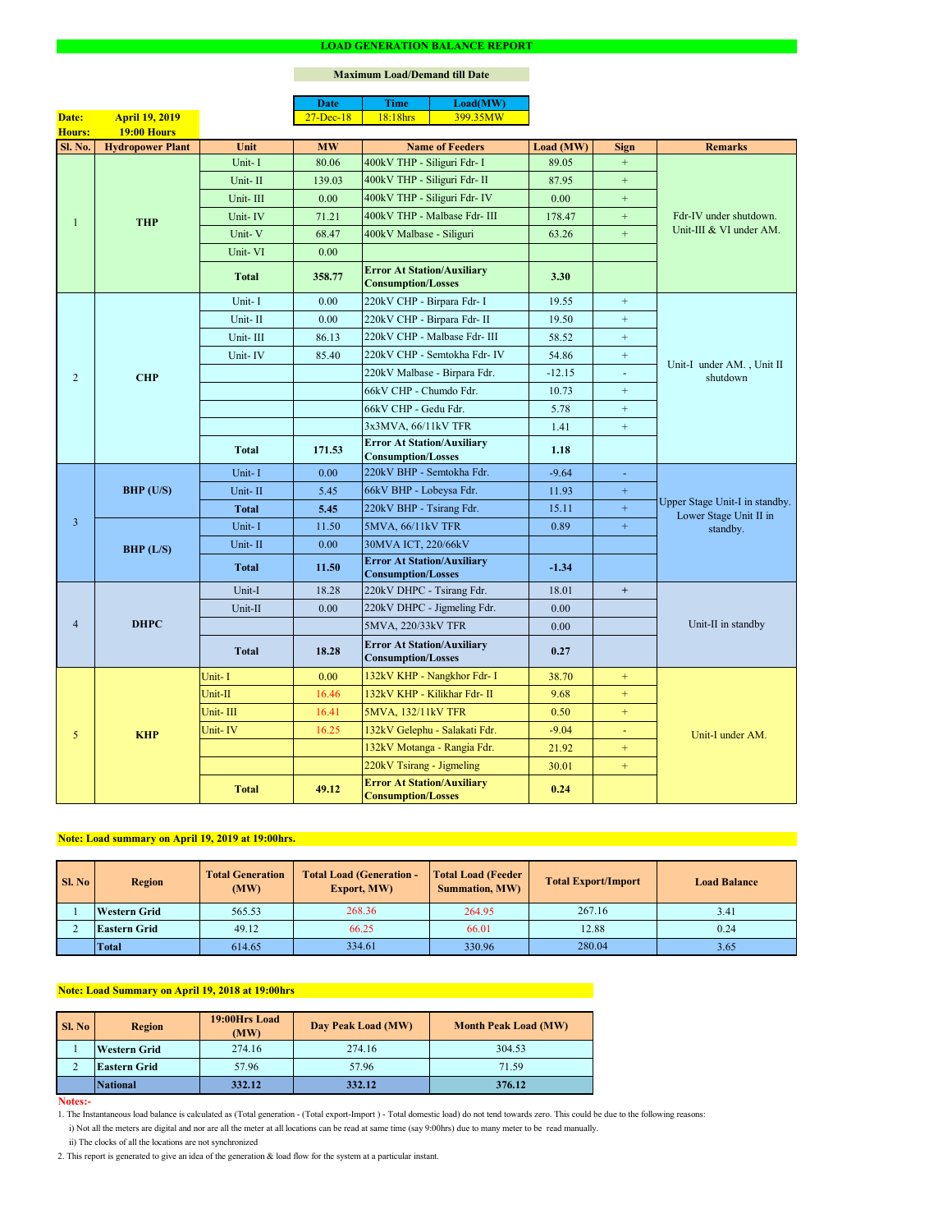#### **Notes:-**

|                |                         |              | <b>Date</b>  | <b>Time</b>                                                    | Load(MW)                      |           |                |                                                                      |  |
|----------------|-------------------------|--------------|--------------|----------------------------------------------------------------|-------------------------------|-----------|----------------|----------------------------------------------------------------------|--|
| Date:          | <b>April 19, 2019</b>   |              | $27$ -Dec-18 | 18:18hrs                                                       | 399.35MW                      |           |                |                                                                      |  |
| Hours:         | 19:00 Hours             |              |              |                                                                |                               |           |                |                                                                      |  |
| Sl. No.        | <b>Hydropower Plant</b> | Unit         | <b>MW</b>    | <b>Name of Feeders</b>                                         |                               | Load (MW) | <b>Sign</b>    | <b>Remarks</b>                                                       |  |
|                |                         | Unit-I       | 80.06        | 400kV THP - Siliguri Fdr- I                                    |                               | 89.05     | $+$            |                                                                      |  |
|                |                         | Unit-II      | 139.03       | 400kV THP - Siliguri Fdr- II                                   |                               | 87.95     | $+$            |                                                                      |  |
|                |                         | Unit-III     | 0.00         |                                                                | 400kV THP - Siliguri Fdr- IV  | 0.00      | $+$            | Fdr-IV under shutdown.<br>Unit-III & VI under AM.                    |  |
| $\mathbf{1}$   | <b>THP</b>              | Unit-IV      | 71.21        |                                                                | 400kV THP - Malbase Fdr- III  | 178.47    | $+$            |                                                                      |  |
|                |                         | Unit-V       | 68.47        | 400kV Malbase - Siliguri                                       |                               | 63.26     | $\pm$          |                                                                      |  |
|                |                         | Unit-VI      | 0.00         |                                                                |                               |           |                |                                                                      |  |
|                |                         | <b>Total</b> | 358.77       | <b>Error At Station/Auxiliary</b><br><b>Consumption/Losses</b> |                               | 3.30      |                |                                                                      |  |
|                |                         | Unit-I       | 0.00         | 220kV CHP - Birpara Fdr- I                                     |                               | 19.55     | $+$            |                                                                      |  |
|                |                         | Unit-II      | 0.00         | 220kV CHP - Birpara Fdr- II                                    |                               | 19.50     | $+$            |                                                                      |  |
|                |                         | Unit-III     | 86.13        |                                                                | 220kV CHP - Malbase Fdr- III  | 58.52     | $+$            |                                                                      |  |
|                |                         | Unit-IV      | 85.40        |                                                                | 220kV CHP - Semtokha Fdr- IV  | 54.86     | $+$            |                                                                      |  |
| 2              | <b>CHP</b>              |              |              |                                                                | 220kV Malbase - Birpara Fdr.  | $-12.15$  | $\sim$         | Unit-I under AM., Unit II<br>shutdown                                |  |
|                |                         |              |              | 66kV CHP - Chumdo Fdr.                                         |                               | 10.73     | $+$            |                                                                      |  |
|                |                         |              |              | 66kV CHP - Gedu Fdr.                                           |                               | 5.78      | $+$            |                                                                      |  |
|                |                         |              |              | 3x3MVA, 66/11kV TFR                                            |                               | 1.41      | $+$            |                                                                      |  |
|                |                         | <b>Total</b> | 171.53       | <b>Error At Station/Auxiliary</b><br><b>Consumption/Losses</b> |                               | 1.18      |                |                                                                      |  |
|                | <b>BHP</b> (U/S)        | Unit-I       | 0.00         | 220kV BHP - Semtokha Fdr.                                      |                               | $-9.64$   | $\blacksquare$ |                                                                      |  |
|                |                         | Unit-II      | 5.45         | 66kV BHP - Lobeysa Fdr.                                        |                               | 11.93     | $\pm$          |                                                                      |  |
|                |                         | <b>Total</b> | 5.45         | 220kV BHP - Tsirang Fdr.                                       |                               | 15.11     | $+$            | Upper Stage Unit-I in standby.<br>Lower Stage Unit II in<br>standby. |  |
| $\overline{3}$ |                         | Unit-I       | 11.50        | 5MVA, 66/11kV TFR                                              |                               | 0.89      | $\pm$          |                                                                      |  |
|                | BHP (L/S)               | Unit-II      | 0.00         | 30MVA ICT, 220/66kV                                            |                               |           |                |                                                                      |  |
|                |                         | <b>Total</b> | 11.50        | <b>Error At Station/Auxiliary</b><br><b>Consumption/Losses</b> |                               | $-1.34$   |                |                                                                      |  |
|                | <b>DHPC</b>             | Unit-I       | 18.28        | 220kV DHPC - Tsirang Fdr.                                      |                               | 18.01     | $+$            |                                                                      |  |
|                |                         | Unit-II      | 0.00         |                                                                | 220kV DHPC - Jigmeling Fdr.   | 0.00      |                |                                                                      |  |
| $\overline{4}$ |                         |              |              | 5MVA, 220/33kV TFR                                             |                               | 0.00      |                | Unit-II in standby                                                   |  |
|                |                         | <b>Total</b> | 18.28        | <b>Error At Station/Auxiliary</b><br><b>Consumption/Losses</b> |                               | 0.27      |                |                                                                      |  |
|                |                         | Unit-I       | 0.00         |                                                                | 132kV KHP - Nangkhor Fdr- I   | 38.70     | $+$            |                                                                      |  |
|                |                         | Unit-II      | 16.46        |                                                                | 132kV KHP - Kilikhar Fdr- II  | 9.68      | $+$            |                                                                      |  |
|                | <b>KHP</b>              | Unit-III     | 16.41        | 5MVA, 132/11kV TFR                                             |                               | 0.50      | $+$            |                                                                      |  |
| 5              |                         | Unit-IV      | 16.25        |                                                                | 132kV Gelephu - Salakati Fdr. | $-9.04$   |                | Unit-I under AM.                                                     |  |
|                |                         |              |              |                                                                | 132kV Motanga - Rangia Fdr.   | 21.92     | $+$            |                                                                      |  |
|                |                         |              |              | 220kV Tsirang - Jigmeling                                      |                               | 30.01     | $+$            |                                                                      |  |
|                |                         | <b>Total</b> | 49.12        | <b>Error At Station/Auxiliary</b><br><b>Consumption/Losses</b> |                               | 0.24      |                |                                                                      |  |

#### **LOAD GENERATION BALANCE REPORT**

| SI. No | <b>Total Generation</b><br><b>Region</b><br>(MW) |        | <b>Total Load (Generation -</b><br><b>Export, MW)</b> | <b>Total Load (Feeder)</b><br><b>Summation, MW)</b> | <b>Total Export/Import</b> | <b>Load Balance</b> |
|--------|--------------------------------------------------|--------|-------------------------------------------------------|-----------------------------------------------------|----------------------------|---------------------|
|        | <b>Western Grid</b>                              | 565.53 | 268.36                                                | 264.95                                              | 267.16                     | 3.41                |
|        | 49.12<br><b>Eastern Grid</b>                     |        | 66.25                                                 | 66.01                                               |                            | 0.24                |
|        | <b>Total</b>                                     | 614.65 | 334.61                                                | 330.96                                              | 280.04                     | 3.65                |

| Sl. No | <b>Region</b>       | 19:00Hrs Load<br>(MW) | Day Peak Load (MW) | <b>Month Peak Load (MW)</b> |  |
|--------|---------------------|-----------------------|--------------------|-----------------------------|--|
|        | <b>Western Grid</b> | 274.16                | 274.16             | 304.53                      |  |
| ∠      | <b>Eastern Grid</b> | 57.96                 | 57.96              | 71.59                       |  |
|        | <b>National</b>     | 332.12                | 332.12             | 376.12                      |  |

i) Not all the meters are digital and nor are all the meter at all locations can be read at same time (say 9:00hrs) due to many meter to be read manually.

# **Note: Load Summary on April 19, 2018 at 19:00hrs**

1. The Instantaneous load balance is calculated as (Total generation - (Total export-Import ) - Total domestic load) do not tend towards zero. This could be due to the following reasons:

# **Note: Load summary on April 19, 2019 at 19:00hrs.**

2. This report is generated to give an idea of the generation & load flow for the system at a particular instant.

### **Maximum Load/Demand till Date**

ii) The clocks of all the locations are not synchronized